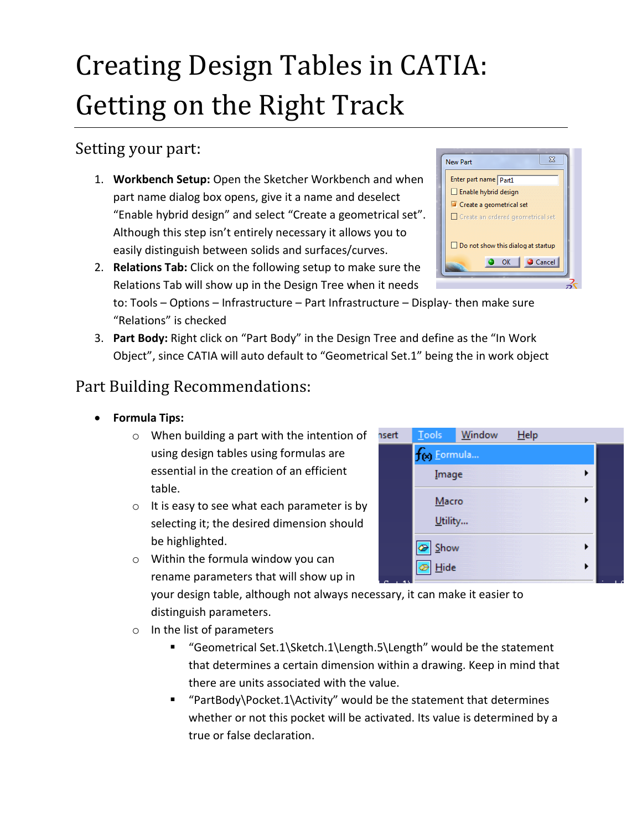# Creating Design Tables in CATIA: Getting on the Right Track

### Setting your part:

- 1. **Workbench Setup:** Open the Sketcher Workbench and when part name dialog box opens, give it a name and deselect "Enable hybrid design" and select "Create a geometrical set". Although this step isn't entirely necessary it allows you to easily distinguish between solids and surfaces/curves.
- 2. **Relations Tab:** Click on the following setup to make sure the Relations Tab will show up in the Design Tree when it needs

to: Tools – Options – Infrastructure – Part Infrastructure – Display- then make sure "Relations" is checked

3. **Part Body:** Right click on "Part Body" in the Design Tree and define as the "In Work Object", since CATIA will auto default to "Geometrical Set.1" being the in work object

## Part Building Recommendations:

- **Formula Tips:**
	- o When building a part with the intention of using design tables using formulas are essential in the creation of an efficient table.
	- o It is easy to see what each parameter is by selecting it; the desired dimension should be highlighted.
	- o Within the formula window you can rename parameters that will show up in

your design table, although not always necessary, it can make it easier to distinguish parameters.

- o In the list of parameters
	- "Geometrical Set.1\Sketch.1\Length.5\Length" would be the statement that determines a certain dimension within a drawing. Keep in mind that there are units associated with the value.
	- "PartBody\Pocket.1\Activity" would be the statement that determines whether or not this pocket will be activated. Its value is determined by a true or false declaration.



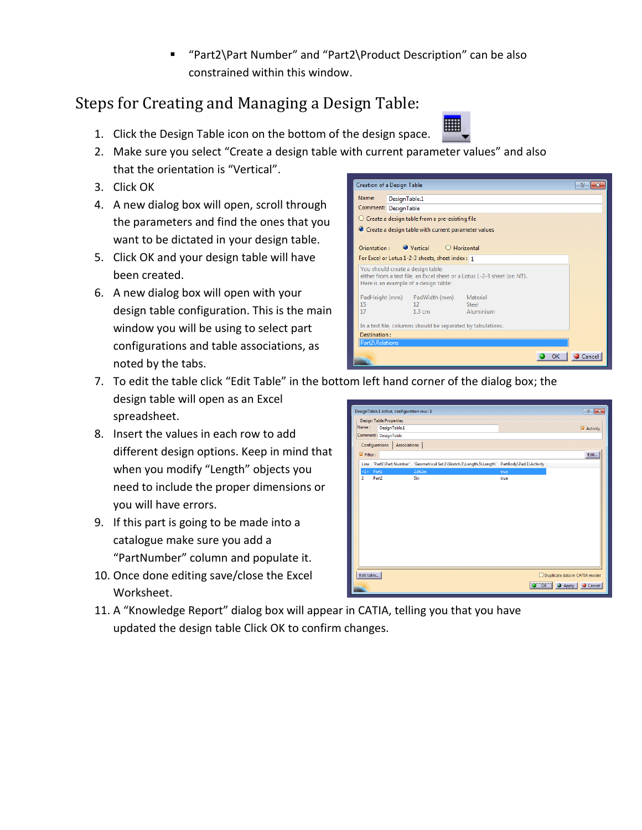"Part2\Part Number" and "Part2\Product Description" can be also constrained within this window.

## Steps for Creating and Managing a Design Table:

- 1. Click the Design Table icon on the bottom of the design space.
- 2. Make sure you select "Create a design table with current parameter values" and also that the orientation is "Vertical".
- 3. Click OK
- 4. A new dialog box will open, scroll through the parameters and find the ones that you want to be dictated in your design table.
- 5. Click OK and your design table will have been created.
- 6. A new dialog box will open with your design table configuration. This is the main window you will be using to select part configurations and table associations, as noted by the tabs.



- 7. To edit the table click "Edit Table" in the bottom left hand corner of the dialog box; the design table will open as an Excel esignTable.1 active, configuration row : 1 spreadsheet.
- 8. Insert the values in each row to add different design options. Keep in mind that when you modify "Length" objects you need to include the proper dimensions or you will have errors.
- 9. If this part is going to be made into a catalogue make sure you add a "PartNumber" column and populate it.
- 10. Once done editing save/close the Excel Worksheet.
- $\left| \cdot \right|$   $\left| \cdot \right|$ **Design Table Properties** Name: DesignTable.1  $\overline{\phantom{a}}$  Activity Comment : DesignTable Configurations | Associations |  $\blacksquare$  Filter : Edit ...  $\vert$ Line PartI\Part Number \ Geometrical Set.I\Sketch.I\Length.5\Length` PartBody\Pad.I\Activity  $p_{\text{ant}}$  $\overline{\mathbf{S}}$ Edit table... Duplicate data in CATIA mode O OK CApply Cancel
- 11. A "Knowledge Report" dialog box will appear in CATIA, telling you that you have updated the design table Click OK to confirm changes.